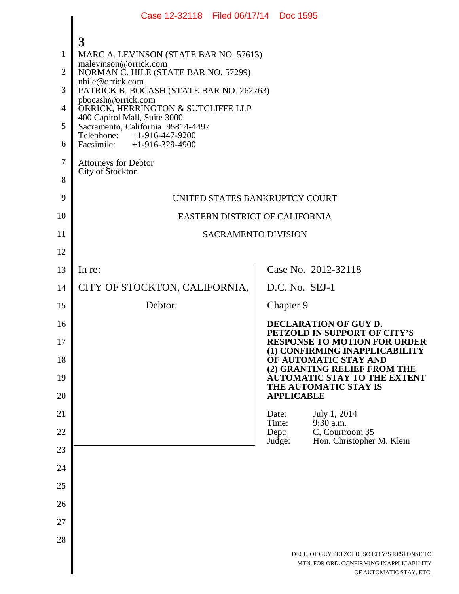|                                                    | Case 12-32118 Filed 06/17/14 Doc 1595                                                                                                                                                                                                                                                                                                                                       |                                                                                                                    |
|----------------------------------------------------|-----------------------------------------------------------------------------------------------------------------------------------------------------------------------------------------------------------------------------------------------------------------------------------------------------------------------------------------------------------------------------|--------------------------------------------------------------------------------------------------------------------|
| $\mathbf{1}$<br>$\overline{2}$<br>3<br>4<br>5<br>6 | 3<br>MARC A. LEVINSON (STATE BAR NO. 57613)<br>malevinson@orrick.com<br>NORMAN C. HILE (STATE BAR NO. 57299)<br>nhile@orrick.com<br>PATRICK B. BOCASH (STATE BAR NO. 262763)<br>pbocash@orrick.com<br>ORRICK, HERRINGTON & SUTCLIFFE LLP<br>400 Capitol Mall, Suite 3000<br>Sacramento, California 95814-4497<br>Telephone: +1-916-447-9200<br>Facsimile: $+1-916-329-4900$ |                                                                                                                    |
| $\tau$<br>8                                        | <b>Attorneys for Debtor</b><br>City of Stockton                                                                                                                                                                                                                                                                                                                             |                                                                                                                    |
| 9<br>10                                            |                                                                                                                                                                                                                                                                                                                                                                             | UNITED STATES BANKRUPTCY COURT<br>EASTERN DISTRICT OF CALIFORNIA                                                   |
| 11                                                 |                                                                                                                                                                                                                                                                                                                                                                             | <b>SACRAMENTO DIVISION</b>                                                                                         |
| 12                                                 |                                                                                                                                                                                                                                                                                                                                                                             |                                                                                                                    |
| 13                                                 | In re:                                                                                                                                                                                                                                                                                                                                                                      | Case No. 2012-32118                                                                                                |
| 14                                                 | CITY OF STOCKTON, CALIFORNIA,                                                                                                                                                                                                                                                                                                                                               | D.C. No. SEJ-1                                                                                                     |
| 15                                                 | Debtor.                                                                                                                                                                                                                                                                                                                                                                     | Chapter 9                                                                                                          |
| 16                                                 |                                                                                                                                                                                                                                                                                                                                                                             | DECLARATION OF GUY D.<br>PETZOLD IN SUPPORT OF CITY'S                                                              |
| 17                                                 |                                                                                                                                                                                                                                                                                                                                                                             | <b>RESPONSE TO MOTION FOR ORDER</b><br>(1) CONFIRMING INAPPLICABILITY                                              |
| 18                                                 |                                                                                                                                                                                                                                                                                                                                                                             | OF AUTOMATIC STAY AND<br>(2) GRANTING RELIEF FROM THE<br>AUTOMATIC STAY TO THE EXTENT                              |
| 19<br>20                                           |                                                                                                                                                                                                                                                                                                                                                                             | THE AUTOMATIC STAY IS<br><b>APPLICABLE</b>                                                                         |
| 21                                                 |                                                                                                                                                                                                                                                                                                                                                                             | Date:<br>July 1, 2014                                                                                              |
| 22                                                 |                                                                                                                                                                                                                                                                                                                                                                             | 9:30 a.m.<br>Time:<br>Dept:<br>C, Courtroom 35                                                                     |
| 23                                                 |                                                                                                                                                                                                                                                                                                                                                                             | Hon. Christopher M. Klein<br>Judge:                                                                                |
| 24                                                 |                                                                                                                                                                                                                                                                                                                                                                             |                                                                                                                    |
| 25                                                 |                                                                                                                                                                                                                                                                                                                                                                             |                                                                                                                    |
| 26                                                 |                                                                                                                                                                                                                                                                                                                                                                             |                                                                                                                    |
| 27                                                 |                                                                                                                                                                                                                                                                                                                                                                             |                                                                                                                    |
| 28                                                 |                                                                                                                                                                                                                                                                                                                                                                             |                                                                                                                    |
|                                                    |                                                                                                                                                                                                                                                                                                                                                                             | DECL. OF GUY PETZOLD ISO CITY'S RESPONSE TO<br>MTN. FOR ORD. CONFIRMING INAPPLICABILITY<br>OF AUTOMATIC STAY, ETC. |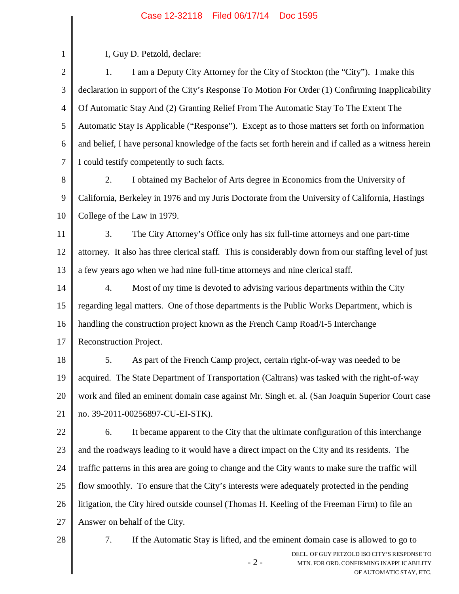## Case 12-32118 Filed 06/17/14 Doc 1595

|                | Case IZ-32110 - Filed 00/17/14 - DOC 1999                                                                                   |  |  |
|----------------|-----------------------------------------------------------------------------------------------------------------------------|--|--|
| $\mathbf{1}$   | I, Guy D. Petzold, declare:                                                                                                 |  |  |
| $\overline{2}$ | I am a Deputy City Attorney for the City of Stockton (the "City"). I make this<br>1.                                        |  |  |
| 3              | declaration in support of the City's Response To Motion For Order (1) Confirming Inapplicability                            |  |  |
| $\overline{4}$ | Of Automatic Stay And (2) Granting Relief From The Automatic Stay To The Extent The                                         |  |  |
| 5              | Automatic Stay Is Applicable ("Response"). Except as to those matters set forth on information                              |  |  |
| 6              | and belief, I have personal knowledge of the facts set forth herein and if called as a witness herein                       |  |  |
| 7              | I could testify competently to such facts.                                                                                  |  |  |
| 8              | 2.<br>I obtained my Bachelor of Arts degree in Economics from the University of                                             |  |  |
| 9              | California, Berkeley in 1976 and my Juris Doctorate from the University of California, Hastings                             |  |  |
| 10             | College of the Law in 1979.                                                                                                 |  |  |
| 11             | The City Attorney's Office only has six full-time attorneys and one part-time<br>3.                                         |  |  |
| 12             | attorney. It also has three clerical staff. This is considerably down from our staffing level of just                       |  |  |
| 13             | a few years ago when we had nine full-time attorneys and nine clerical staff.                                               |  |  |
| 14             | Most of my time is devoted to advising various departments within the City<br>4.                                            |  |  |
| 15             | regarding legal matters. One of those departments is the Public Works Department, which is                                  |  |  |
| 16             | handling the construction project known as the French Camp Road/I-5 Interchange                                             |  |  |
| 17             | Reconstruction Project.                                                                                                     |  |  |
| 18             | 5.<br>As part of the French Camp project, certain right-of-way was needed to be                                             |  |  |
| 19             | acquired. The State Department of Transportation (Caltrans) was tasked with the right-of-way                                |  |  |
| 20             | work and filed an eminent domain case against Mr. Singh et. al. (San Joaquin Superior Court case                            |  |  |
| 21             | no. 39-2011-00256897-CU-EI-STK).                                                                                            |  |  |
| 22             | It became apparent to the City that the ultimate configuration of this interchange<br>6.                                    |  |  |
| 23             | and the roadways leading to it would have a direct impact on the City and its residents. The                                |  |  |
| 24             | traffic patterns in this area are going to change and the City wants to make sure the traffic will                          |  |  |
| 25             | flow smoothly. To ensure that the City's interests were adequately protected in the pending                                 |  |  |
| 26             | litigation, the City hired outside counsel (Thomas H. Keeling of the Freeman Firm) to file an                               |  |  |
| 27             | Answer on behalf of the City.                                                                                               |  |  |
| 28             | 7.<br>If the Automatic Stay is lifted, and the eminent domain case is allowed to go to                                      |  |  |
|                | DECL. OF GUY PETZOLD ISO CITY'S RESPONSE TO<br>$-2-$<br>MTN. FOR ORD. CONFIRMING INAPPLICABILITY<br>OF AUTOMATIC STAY, ETC. |  |  |